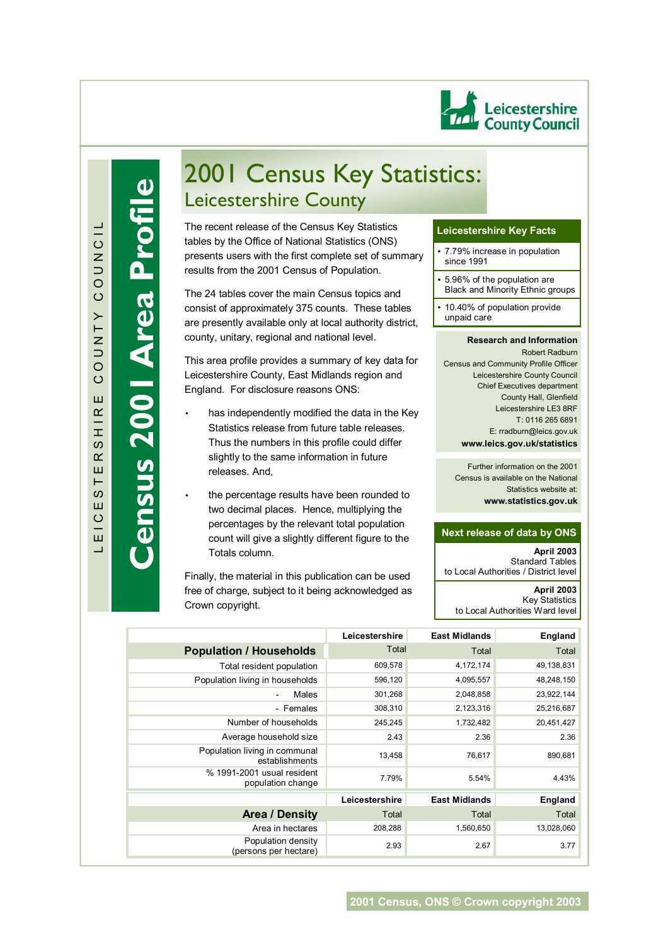

**Census 2001 Area Profile**

ensus 2001 Area Profile

# 2001 Census Key Statistics: Leicestershire County

tables by the Office of National Statistics (ONS)<br>presents users with the first complete set of summary The recent release of the Census Key Statistics tables by the Office of National Statistics (ONS) results from the 2001 Census of Population.

The 24 tables cover the main Census topics and consist of approximately 375 counts. These tables are presently available only at local authority district, county, unitary, regional and national level.

This area profile provides a summary of key data for Leicestershire County, East Midlands region and England. For disclosure reasons ONS:

- has independently modified the data in the Key Statistics release from future table releases. Thus the numbers in this profile could differ slightly to the same information in future releases. And,
- the percentage results have been rounded to two decimal places. Hence, multiplying the percentages by the relevant total population count will give a slightly different figure to the Totals column.

Finally, the material in this publication can be used free of charge, subject to it being acknowledged as Crown copyright.

## **Leicestershire Key Facts**

- 7.79% increase in population since 1991
- 5.96% of the population are Black and Minority Ethnic groups
- 10.40% of population provide unpaid care

#### **Research and Information**

Robert Radburn Census and Community Profile Officer Leicestershire County Council Chief Executives department County Hall, Glenfield Leicestershire LE3 8RF T: 0116 265 6891 E: rradburn@leics.gov.uk **www.leics.gov.uk/statistics**

Further information on the 2001 Census is available on the National Statistics website at: **www.statistics.gov.uk**

## **Next release of data by ONS**

**April 2003**  Standard Tables to Local Authorities / District level **April 2003** Key Statistics to Local Authorities Ward level

|                                                 | Leicestershire | <b>East Midlands</b> | <b>England</b> |
|-------------------------------------------------|----------------|----------------------|----------------|
| <b>Population / Households</b>                  | Total          | Total                | Total          |
| Total resident population                       | 609,578        | 4,172,174            | 49,138,831     |
| Population living in households                 | 596,120        | 4,095,557            | 48,248,150     |
| Males<br>$\overline{\phantom{a}}$               | 301,268        | 2,048,858            | 23,922,144     |
| - Females                                       | 308,310        | 2,123,316            | 25,216,687     |
| Number of households                            | 245,245        | 1,732,482            | 20,451,427     |
| Average household size                          | 2.43           | 2.36                 | 2.36           |
| Population living in communal<br>establishments | 13,458         | 76,617               | 890,681        |
| % 1991-2001 usual resident<br>population change | 7.79%          | 5.54%                | 4.43%          |
|                                                 | Leicestershire | <b>East Midlands</b> | <b>England</b> |
| <b>Area / Density</b>                           | Total          | Total                | Total          |
| Area in hectares                                | 208,288        | 1,560,650            | 13,028,060     |
| Population density<br>(persons per hectare)     | 2.93           | 2.67                 | 3.77           |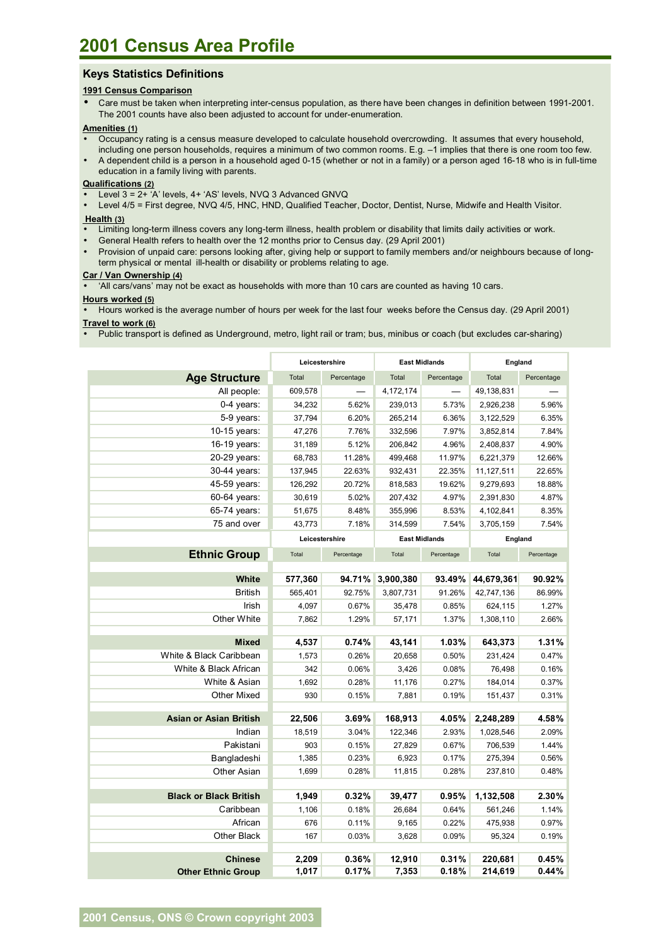# **Keys Statistics Definitions**

## **1991 Census Comparison**

• Care must be taken when interpreting inter-census population, as there have been changes in definition between 1991-2001. The 2001 counts have also been adjusted to account for under-enumeration.

#### **Amenities (1)**

- Occupancy rating is a census measure developed to calculate household overcrowding. It assumes that every household, including one person households, requires a minimum of two common rooms. E.g. -1 implies that there is one room too few.
- A dependent child is a person in a household aged 0-15 (whether or not in a family) or a person aged 16-18 who is in full-time education in a family living with parents.

# **Qualifications (2)**

- Level 3 = 2+ 'A' levels, 4+ 'AS' levels, NVQ 3 Advanced GNVQ
- Level 4/5 = First degree, NVQ 4/5, HNC, HND, Qualified Teacher, Doctor, Dentist, Nurse, Midwife and Health Visitor.

#### **Health (3)**

- Limiting long-term illness covers any long-term illness, health problem or disability that limits daily activities or work.
- General Health refers to health over the 12 months prior to Census day. (29 April 2001)
- Provision of unpaid care: persons looking after, giving help or support to family members and/or neighbours because of longterm physical or mental ill-health or disability or problems relating to age.

#### **Car / Van Ownership (4)**

• ëAll cars/vansí may not be exact as households with more than 10 cars are counted as having 10 cars.

#### **Hours worked (5)**

• Hours worked is the average number of hours per week for the last four weeks before the Census day. (29 April 2001)

# **Travel to work (6)**

• Public transport is defined as Underground, metro, light rail or tram; bus, minibus or coach (but excludes car-sharing)

|                               | Leicestershire |            | <b>East Midlands</b> |            | England    |            |
|-------------------------------|----------------|------------|----------------------|------------|------------|------------|
| <b>Age Structure</b>          | Total          | Percentage | Total                | Percentage | Total      | Percentage |
| All people:                   | 609,578        |            | 4,172,174            |            | 49,138,831 |            |
| 0-4 years:                    | 34,232         | 5.62%      | 239,013              | 5.73%      | 2,926,238  | 5.96%      |
| 5-9 years:                    | 37,794         | 6.20%      | 265,214              | 6.36%      | 3,122,529  | 6.35%      |
| 10-15 years:                  | 47,276         | 7.76%      | 332,596              | 7.97%      | 3,852,814  | 7.84%      |
| 16-19 years:                  | 31,189         | 5.12%      | 206,842              | 4.96%      | 2,408,837  | 4.90%      |
| 20-29 years:                  | 68,783         | 11.28%     | 499,468              | 11.97%     | 6,221,379  | 12.66%     |
| 30-44 years:                  | 137,945        | 22.63%     | 932,431              | 22.35%     | 11,127,511 | 22.65%     |
| 45-59 years:                  | 126,292        | 20.72%     | 818,583              | 19.62%     | 9,279,693  | 18.88%     |
| 60-64 years:                  | 30,619         | 5.02%      | 207,432              | 4.97%      | 2,391,830  | 4.87%      |
| 65-74 years:                  | 51,675         | 8.48%      | 355,996              | 8.53%      | 4,102,841  | 8.35%      |
| 75 and over                   | 43,773         | 7.18%      | 314,599              | 7.54%      | 3,705,159  | 7.54%      |
|                               | Leicestershire |            | <b>East Midlands</b> |            | England    |            |
| <b>Ethnic Group</b>           | Total          | Percentage | Total                | Percentage | Total      | Percentage |
|                               |                |            |                      |            |            |            |
| White                         | 577,360        | 94.71%     | 3,900,380            | 93.49%     | 44,679,361 | 90.92%     |
| <b>British</b>                | 565,401        | 92.75%     | 3,807,731            | 91.26%     | 42,747,136 | 86.99%     |
| Irish                         | 4,097          | 0.67%      | 35,478               | 0.85%      | 624,115    | 1.27%      |
| Other White                   | 7,862          | 1.29%      | 57,171               | 1.37%      | 1,308,110  | 2.66%      |
|                               |                |            |                      |            |            |            |
| <b>Mixed</b>                  | 4,537          | 0.74%      | 43,141               | 1.03%      | 643,373    | 1.31%      |
| White & Black Caribbean       | 1,573          | 0.26%      | 20,658               | 0.50%      | 231,424    | 0.47%      |
| White & Black African         | 342            | 0.06%      | 3,426                | 0.08%      | 76,498     | 0.16%      |
| White & Asian                 | 1,692          | 0.28%      | 11,176               | 0.27%      | 184,014    | 0.37%      |
| <b>Other Mixed</b>            | 930            | 0.15%      | 7,881                | 0.19%      | 151,437    | 0.31%      |
| <b>Asian or Asian British</b> | 22,506         | 3.69%      | 168,913              | 4.05%      | 2,248,289  | 4.58%      |
| Indian                        | 18,519         | 3.04%      | 122,346              | 2.93%      | 1,028,546  | 2.09%      |
| Pakistani                     | 903            | 0.15%      | 27,829               | 0.67%      | 706,539    | 1.44%      |
| Bangladeshi                   | 1,385          | 0.23%      | 6,923                | 0.17%      | 275,394    | 0.56%      |
| <b>Other Asian</b>            | 1,699          | 0.28%      | 11,815               | 0.28%      | 237,810    | 0.48%      |
|                               |                |            |                      |            |            |            |
| <b>Black or Black British</b> | 1,949          | 0.32%      | 39,477               | 0.95%      | 1,132,508  | 2.30%      |
| Caribbean                     | 1,106          | 0.18%      | 26,684               | 0.64%      | 561,246    | 1.14%      |
| African                       | 676            | 0.11%      | 9,165                | 0.22%      | 475,938    | 0.97%      |
| Other Black                   | 167            | 0.03%      | 3,628                | 0.09%      | 95,324     | 0.19%      |
|                               |                |            |                      |            |            |            |
| <b>Chinese</b>                | 2,209          | 0.36%      | 12,910               | 0.31%      | 220,681    | 0.45%      |
| <b>Other Ethnic Group</b>     | 1,017          | 0.17%      | 7,353                | 0.18%      | 214,619    | 0.44%      |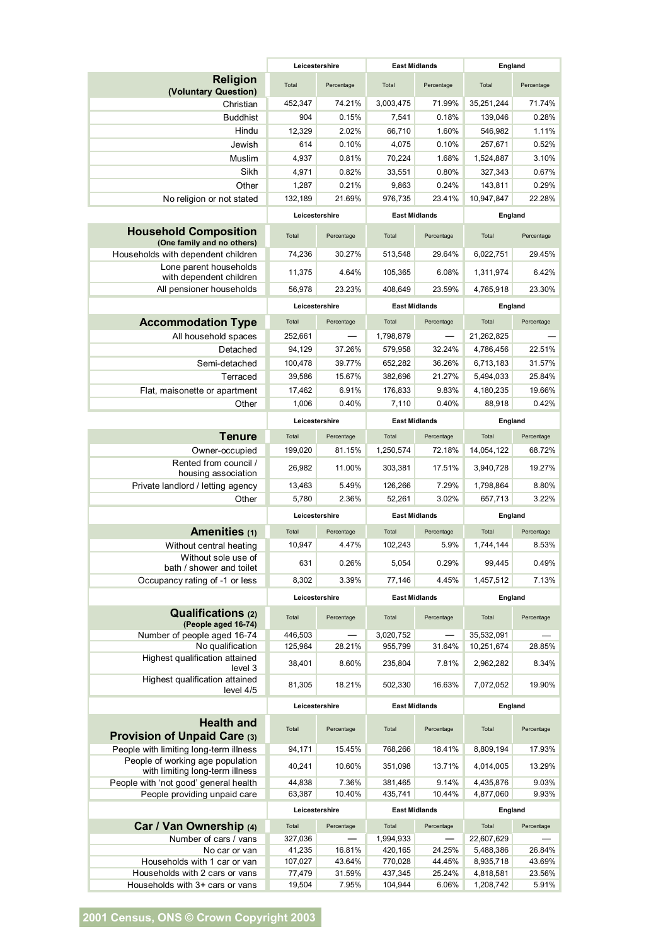|                                                                     | Leicestershire    |            | <b>East Midlands</b> |                 | England                 |            |
|---------------------------------------------------------------------|-------------------|------------|----------------------|-----------------|-------------------------|------------|
| Religion<br>(Voluntary Question)                                    | Total             | Percentage | Total                | Percentage      | Total                   | Percentage |
| Christian                                                           | 452,347           | 74.21%     | 3,003,475            | 71.99%          | 35,251,244              | 71.74%     |
| <b>Buddhist</b>                                                     | 904               | 0.15%      | 7,541                | 0.18%           | 139,046                 | 0.28%      |
| Hindu                                                               | 12,329            | 2.02%      | 66,710               | 1.60%           | 546,982                 | 1.11%      |
| Jewish                                                              | 614               | 0.10%      | 4,075                | 0.10%           | 257,671                 | 0.52%      |
| Muslim                                                              | 4,937             | 0.81%      | 70,224               | 1.68%           | 1,524,887               | 3.10%      |
| Sikh                                                                | 4,971             | 0.82%      | 33,551               | 0.80%           | 327,343                 | 0.67%      |
| Other                                                               | 1,287             | 0.21%      | 9,863                | 0.24%           | 143,811                 | 0.29%      |
| No religion or not stated                                           | 132,189           | 21.69%     | 976,735              | 23.41%          | 10,947,847              | 22.28%     |
|                                                                     | Leicestershire    |            | <b>East Midlands</b> |                 | England                 |            |
| <b>Household Composition</b><br>(One family and no others)          | Total             | Percentage | Total                | Percentage      | Total                   | Percentage |
| Households with dependent children                                  | 74,236            | 30.27%     | 513,548              | 29.64%          | 6,022,751               | 29.45%     |
| Lone parent households<br>with dependent children                   | 11,375            | 4.64%      | 105,365              | 6.08%           | 1,311,974               | 6.42%      |
| All pensioner households                                            | 56,978            | 23.23%     | 408,649              | 23.59%          | 4,765,918               | 23.30%     |
|                                                                     | Leicestershire    |            | <b>East Midlands</b> |                 | England                 |            |
| <b>Accommodation Type</b>                                           | Total             | Percentage | Total<br>Percentage  |                 | Total<br>Percentage     |            |
| All household spaces                                                | 252,661           |            | 1,798,879            |                 | 21,262,825              |            |
| Detached                                                            | 94,129            | 37.26%     | 579,958              | 32.24%          | 4,786,456               | 22.51%     |
| Semi-detached                                                       | 100,478           | 39.77%     | 652,282              | 36.26%          | 6,713,183               | 31.57%     |
| Terraced                                                            | 39,586            | 15.67%     | 382,696              | 21.27%          | 5,494,033               | 25.84%     |
| Flat, maisonette or apartment                                       | 17,462            | 6.91%      | 176,833              | 9.83%           | 4,180,235               | 19.66%     |
| Other                                                               | 1,006             | 0.40%      | 7,110                | 0.40%           | 88,918                  | 0.42%      |
|                                                                     |                   |            |                      |                 |                         |            |
|                                                                     | Leicestershire    |            | <b>East Midlands</b> |                 | England                 |            |
| <b>Tenure</b>                                                       | Total             | Percentage | Total                | Percentage      | Total                   | Percentage |
| Owner-occupied                                                      | 199,020           | 81.15%     | 1,250,574            | 72.18%          | 14,054,122              | 68.72%     |
| Rented from council /<br>housing association                        | 26,982            | 11.00%     | 303,381              | 17.51%          | 3,940,728               | 19.27%     |
| Private landlord / letting agency                                   | 13,463            | 5.49%      | 126,266              | 7.29%           | 1,798,864               | 8.80%      |
| Other                                                               | 5,780             | 2.36%      | 52,261               | 3.02%           | 657,713                 | 3.22%      |
|                                                                     | Leicestershire    |            | <b>East Midlands</b> |                 | England                 |            |
| Amenities (1)                                                       | Total             | Percentage | Total                | Percentage      | Total                   | Percentage |
| Without central heating                                             | 10.947            | 4.47%      | 102,243              | 5.9%            | 1,744,144               | 8.53%      |
| Without sole use of<br>bath / shower and toilet                     | 631               | 0.26%      | 5,054                | 0.29%           | 99,445                  | 0.49%      |
| Occupancy rating of -1 or less                                      | 8,302             | 3.39%      | 77,146               | 4.45%           | 1,457,512               | 7.13%      |
|                                                                     | Leicestershire    |            | <b>East Midlands</b> |                 | England                 |            |
| <b>Qualifications (2)</b><br>(People aged 16-74)                    | Total             | Percentage | Total                | Percentage      | Total                   | Percentage |
| Number of people aged 16-74                                         | 446,503           | 28.21%     | 3,020,752<br>955,799 |                 | 35,532,091              | 28.85%     |
| No qualification<br>Highest qualification attained<br>level 3       | 125,964<br>38,401 | 8.60%      | 235,804              | 31.64%<br>7.81% | 10,251,674<br>2,962,282 | 8.34%      |
| Highest qualification attained<br>level 4/5                         | 81,305            | 18.21%     | 502,330              | 16.63%          | 7,072,052               | 19.90%     |
|                                                                     | Leicestershire    |            | <b>East Midlands</b> |                 | England                 |            |
| <b>Health and</b><br><b>Provision of Unpaid Care (3)</b>            | Total             | Percentage | Total                | Percentage      | Total                   | Percentage |
| People with limiting long-term illness                              | 94,171            | 15.45%     | 768,266              | 18.41%          | 8,809,194               | 17.93%     |
| People of working age population<br>with limiting long-term illness | 40,241            | 10.60%     | 351,098              | 13.71%          | 4,014,005               | 13.29%     |
| People with 'not good' general health                               | 44,838            | 7.36%      | 381,465              | 9.14%           | 4,435,876               | 9.03%      |
| People providing unpaid care                                        | 63,387            | 10.40%     | 435,741              | 10.44%          | 4,877,060               | 9.93%      |
|                                                                     | Leicestershire    |            | <b>East Midlands</b> |                 | England                 |            |
| Car / Van Ownership (4)                                             | Total             | Percentage | Total                | Percentage      | Total                   | Percentage |
| Number of cars / vans                                               | 327,036           |            | 1,994,933            |                 | 22,607,629              |            |
| No car or van                                                       | 41,235            | 16.81%     | 420,165              | 24.25%          | 5,488,386               | 26.84%     |
| Households with 1 car or van                                        | 107,027           | 43.64%     | 770,028              | 44.45%          | 8,935,718               | 43.69%     |
| Households with 2 cars or vans                                      | 77,479            | 31.59%     | 437,345              | 25.24%          | 4,818,581               | 23.56%     |
| Households with 3+ cars or vans                                     | 19,504            | 7.95%      | 104,944              | 6.06%           | 1,208,742               | 5.91%      |